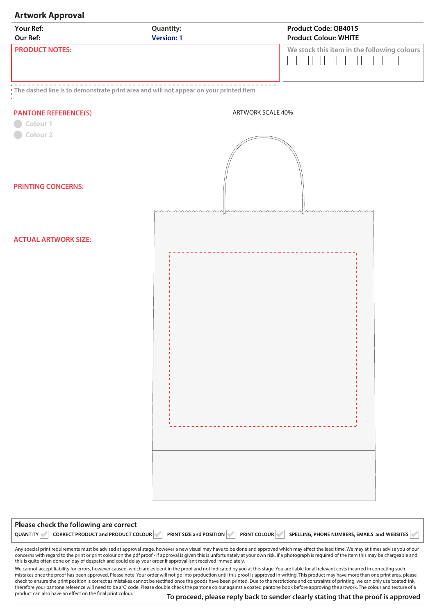| <b>Artwork Approval</b><br>Your Ref:           | Quantity:                                                                                                      | Product Code: QB4015                                                                                                                                                                                                                                                                                                                                                                              |  |  |
|------------------------------------------------|----------------------------------------------------------------------------------------------------------------|---------------------------------------------------------------------------------------------------------------------------------------------------------------------------------------------------------------------------------------------------------------------------------------------------------------------------------------------------------------------------------------------------|--|--|
| <b>Our Ref:</b>                                | <b>Version: 1</b>                                                                                              | <b>Product Colour: WHITE</b>                                                                                                                                                                                                                                                                                                                                                                      |  |  |
| <b>PRODUCT NOTES:</b>                          |                                                                                                                | We stock this item in the following colours                                                                                                                                                                                                                                                                                                                                                       |  |  |
|                                                |                                                                                                                |                                                                                                                                                                                                                                                                                                                                                                                                   |  |  |
|                                                |                                                                                                                |                                                                                                                                                                                                                                                                                                                                                                                                   |  |  |
|                                                | ! The dashed line is to demonstrate print area and will not appear on your printed item                        |                                                                                                                                                                                                                                                                                                                                                                                                   |  |  |
|                                                |                                                                                                                |                                                                                                                                                                                                                                                                                                                                                                                                   |  |  |
| <b>PANTONE REFERENCE(S)</b>                    |                                                                                                                | <b>ARTWORK SCALE 40%</b>                                                                                                                                                                                                                                                                                                                                                                          |  |  |
| Colour 1                                       |                                                                                                                |                                                                                                                                                                                                                                                                                                                                                                                                   |  |  |
| Colour <sub>2</sub>                            |                                                                                                                |                                                                                                                                                                                                                                                                                                                                                                                                   |  |  |
|                                                |                                                                                                                |                                                                                                                                                                                                                                                                                                                                                                                                   |  |  |
|                                                |                                                                                                                |                                                                                                                                                                                                                                                                                                                                                                                                   |  |  |
|                                                |                                                                                                                |                                                                                                                                                                                                                                                                                                                                                                                                   |  |  |
| <b>PRINTING CONCERNS:</b>                      |                                                                                                                |                                                                                                                                                                                                                                                                                                                                                                                                   |  |  |
|                                                |                                                                                                                |                                                                                                                                                                                                                                                                                                                                                                                                   |  |  |
|                                                |                                                                                                                |                                                                                                                                                                                                                                                                                                                                                                                                   |  |  |
|                                                |                                                                                                                |                                                                                                                                                                                                                                                                                                                                                                                                   |  |  |
| <b>ACTUAL ARTWORK SIZE:</b>                    |                                                                                                                |                                                                                                                                                                                                                                                                                                                                                                                                   |  |  |
|                                                |                                                                                                                |                                                                                                                                                                                                                                                                                                                                                                                                   |  |  |
|                                                |                                                                                                                |                                                                                                                                                                                                                                                                                                                                                                                                   |  |  |
|                                                |                                                                                                                |                                                                                                                                                                                                                                                                                                                                                                                                   |  |  |
|                                                |                                                                                                                |                                                                                                                                                                                                                                                                                                                                                                                                   |  |  |
|                                                |                                                                                                                |                                                                                                                                                                                                                                                                                                                                                                                                   |  |  |
|                                                |                                                                                                                |                                                                                                                                                                                                                                                                                                                                                                                                   |  |  |
|                                                |                                                                                                                |                                                                                                                                                                                                                                                                                                                                                                                                   |  |  |
|                                                |                                                                                                                |                                                                                                                                                                                                                                                                                                                                                                                                   |  |  |
|                                                |                                                                                                                |                                                                                                                                                                                                                                                                                                                                                                                                   |  |  |
|                                                |                                                                                                                |                                                                                                                                                                                                                                                                                                                                                                                                   |  |  |
|                                                |                                                                                                                |                                                                                                                                                                                                                                                                                                                                                                                                   |  |  |
|                                                |                                                                                                                |                                                                                                                                                                                                                                                                                                                                                                                                   |  |  |
|                                                |                                                                                                                |                                                                                                                                                                                                                                                                                                                                                                                                   |  |  |
|                                                |                                                                                                                |                                                                                                                                                                                                                                                                                                                                                                                                   |  |  |
|                                                |                                                                                                                |                                                                                                                                                                                                                                                                                                                                                                                                   |  |  |
|                                                |                                                                                                                |                                                                                                                                                                                                                                                                                                                                                                                                   |  |  |
|                                                |                                                                                                                |                                                                                                                                                                                                                                                                                                                                                                                                   |  |  |
|                                                |                                                                                                                |                                                                                                                                                                                                                                                                                                                                                                                                   |  |  |
|                                                |                                                                                                                |                                                                                                                                                                                                                                                                                                                                                                                                   |  |  |
|                                                |                                                                                                                |                                                                                                                                                                                                                                                                                                                                                                                                   |  |  |
|                                                |                                                                                                                |                                                                                                                                                                                                                                                                                                                                                                                                   |  |  |
|                                                |                                                                                                                |                                                                                                                                                                                                                                                                                                                                                                                                   |  |  |
|                                                |                                                                                                                |                                                                                                                                                                                                                                                                                                                                                                                                   |  |  |
| Please check the following are correct         |                                                                                                                |                                                                                                                                                                                                                                                                                                                                                                                                   |  |  |
| QUANTITY<br>CORRECT PRODUCT and PRODUCT COLOUR | PRINT SIZE and POSITION                                                                                        | <b>PRINT COLOUR</b><br>SPELLING, PHONE NUMBERS, EMAILS and WEBSITES                                                                                                                                                                                                                                                                                                                               |  |  |
|                                                |                                                                                                                | Any special print requirements must be advised at approval stage, however a new visual may have to be done and approved which may affect the lead time. We may at times advise you of our                                                                                                                                                                                                         |  |  |
|                                                | this is quite often done on day of despatch and could delay your order if approval isn't received immediately. | concerns with regard to the print or print colour on the pdf proof - if approval is given this is unfortunately at your own risk. If a photograph is required of the item this may be chargeable and                                                                                                                                                                                              |  |  |
|                                                |                                                                                                                | We cannot accept liability for errors, however caused, which are evident in the proof and not indicated by you at this stage. You are liable for all relevant costs incurred in correcting such<br>mistakes once the proof has been approved. Please note: Your order will not go into production until this proof is approved in writing. This product may have more than one print area, please |  |  |

therefore your pantone reference will need to be a 'C' code. Please double check the pantone colour against a coated pantone book before approving the artwork. The colour and texture of a

product can also have an effect on the final print colour.